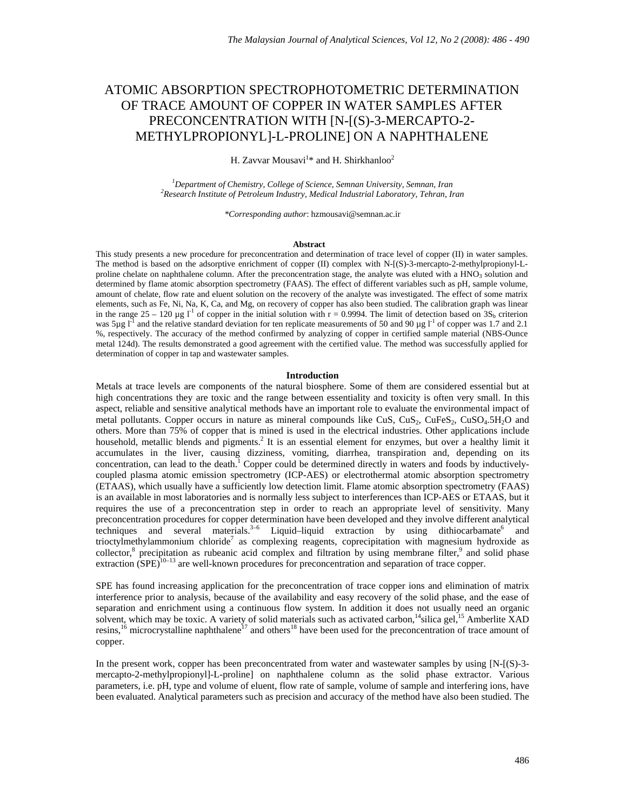# ATOMIC ABSORPTION SPECTROPHOTOMETRIC DETERMINATION OF TRACE AMOUNT OF COPPER IN WATER SAMPLES AFTER PRECONCENTRATION WITH [N-[(S)-3-MERCAPTO-2- METHYLPROPIONYL]-L-PROLINE] ON A NAPHTHALENE

H. Zavvar Mousavi $^{1*}$  and H. Shirkhanloo $^{2}$ 

<sup>1</sup>Department of Chemistry, College of Science, Semnan University, Semnan, Iran <sup>2</sup> Besearch Institute of Betroleum Industry Medical Industrial Laboratory, Tehran, Ir *Research Institute of Petroleum Industry, Medical Industrial Laboratory, Tehran, Iran* 

*\*Corresponding author*: hzmousavi@semnan.ac.ir

#### **Abstract**

This study presents a new procedure for preconcentration and determination of trace level of copper (II) in water samples. The method is based on the adsorptive enrichment of copper (II) complex with N-[(S)-3-mercapto-2-methylpropionyl-Lproline chelate on naphthalene column. After the preconcentration stage, the analyte was eluted with a HNO<sub>3</sub> solution and determined by flame atomic absorption spectrometry (FAAS). The effect of different variables such as pH, sample volume, amount of chelate, flow rate and eluent solution on the recovery of the analyte was investigated. The effect of some matrix elements, such as Fe, Ni, Na, K, Ca, and Mg, on recovery of copper has also been studied. The calibration graph was linear in the range  $25 - 120 \mu g I<sup>1</sup>$  of copper in the initial solution with r = 0.9994. The limit of detection based on  $3S<sub>b</sub>$  criterion was 5 $\mu$ g l<sup>-1</sup> and the relative standard deviation for ten replicate measurements of 50 and 90  $\mu$ g l<sup>-1</sup> of copper was 1.7 and 2.1 %, respectively. The accuracy of the method confirmed by analyzing of copper in certified sample material (NBS-Ounce metal 124d). The results demonstrated a good agreement with the certified value. The method was successfully applied for determination of copper in tap and wastewater samples.

### **Introduction**

Metals at trace levels are components of the natural biosphere. Some of them are considered essential but at high concentrations they are toxic and the range between essentiality and toxicity is often very small. In this aspect, reliable and sensitive analytical methods have an important role to evaluate the environmental impact of metal pollutants. Copper occurs in nature as mineral compounds like CuS, CuS<sub>2</sub>, CuFeS<sub>2</sub>, CuSO<sub>4</sub>.5H<sub>2</sub>O and others. More than 75% of copper that is mined is used in the electrical industries. Other applications include household, metallic blends and pigments.<sup>2</sup> It is an essential element for enzymes, but over a healthy limit it accumulates in the liver, causing dizziness, vomiting, diarrhea, transpiration and, depending on its concentration, can lead to the death.<sup>1</sup> Copper could be determined directly in waters and foods by inductivelycoupled plasma atomic emission spectrometry (ICP-AES) or electrothermal atomic absorption spectrometry (ETAAS), which usually have a sufficiently low detection limit. Flame atomic absorption spectrometry (FAAS) is an available in most laboratories and is normally less subject to interferences than ICP-AES or ETAAS, but it requires the use of a preconcentration step in order to reach an appropriate level of sensitivity. Many preconcentration procedures for copper determination have been developed and they involve different analytical techniques and several materials.<sup>3-6</sup> Liquid–liquid extraction by using dithiocarbamate<sup>6</sup> and trioctylmethylammonium chloride<sup>7</sup> as complexing reagents, coprecipitation with magnesium hydroxide as collector,<sup>8</sup> precipitation as rubeanic acid complex and filtration by using membrane filter,<sup>9</sup> and solid phase extraction  $(SPE)^{10-13}$  are well-known procedures for preconcentration and separation of trace copper.

SPE has found increasing application for the preconcentration of trace copper ions and elimination of matrix interference prior to analysis, because of the availability and easy recovery of the solid phase, and the ease of separation and enrichment using a continuous flow system. In addition it does not usually need an organic solvent, which may be toxic. A variety of solid materials such as activated carbon, <sup>14</sup>silica gel, <sup>15</sup> Amberlite XAD resins,<sup>16</sup> microcrystalline naphthalene<sup>17</sup> and others<sup>18</sup> have been used for the preconcentration of trace amount of copper.

In the present work, copper has been preconcentrated from water and wastewater samples by using [N-[(S)-3 mercapto-2-methylpropionyl]-L-proline] on naphthalene column as the solid phase extractor. Various parameters, i.e. pH, type and volume of eluent, flow rate of sample, volume of sample and interfering ions, have been evaluated. Analytical parameters such as precision and accuracy of the method have also been studied. The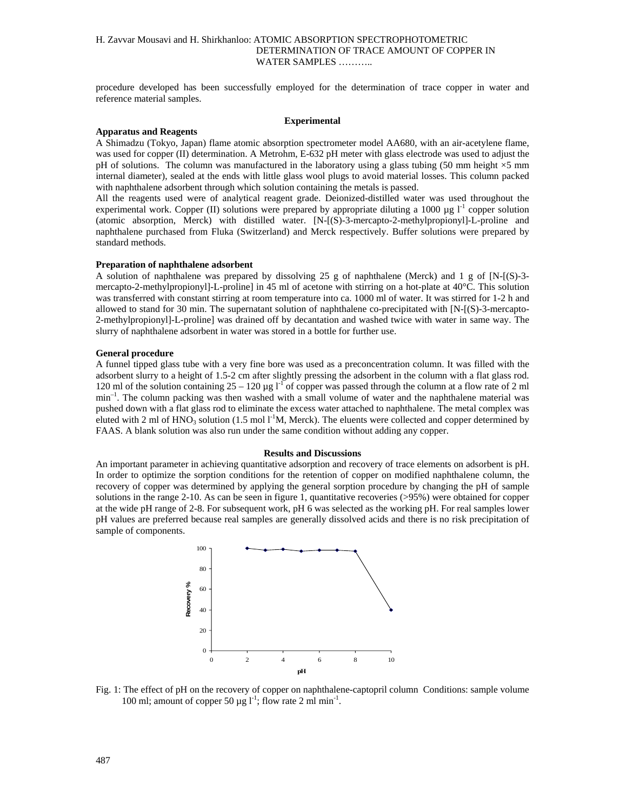# H. Zavvar Mousavi and H. Shirkhanloo: ATOMIC ABSORPTION SPECTROPHOTOMETRIC DETERMINATION OF TRACE AMOUNT OF COPPER IN WATER SAMPLES ………..

procedure developed has been successfully employed for the determination of trace copper in water and reference material samples.

#### **Experimental**

#### **Apparatus and Reagents**

A Shimadzu (Tokyo, Japan) flame atomic absorption spectrometer model AA680, with an air-acetylene flame, was used for copper (II) determination. A Metrohm, E-632 pH meter with glass electrode was used to adjust the pH of solutions. The column was manufactured in the laboratory using a glass tubing (50 mm height  $\times$ 5 mm internal diameter), sealed at the ends with little glass wool plugs to avoid material losses. This column packed with naphthalene adsorbent through which solution containing the metals is passed.

All the reagents used were of analytical reagent grade. Deionized-distilled water was used throughout the experimental work. Copper (II) solutions were prepared by appropriate diluting a 1000  $\mu$ g l<sup>-1</sup> copper solution (atomic absorption, Merck) with distilled water. [N-[(S)-3-mercapto-2-methylpropionyl]-L-proline and naphthalene purchased from Fluka (Switzerland) and Merck respectively. Buffer solutions were prepared by standard methods.

### **Preparation of naphthalene adsorbent**

A solution of naphthalene was prepared by dissolving 25 g of naphthalene (Merck) and 1 g of [N-[(S)-3 mercapto-2-methylpropionyl]-L-proline] in 45 ml of acetone with stirring on a hot-plate at 40°C. This solution was transferred with constant stirring at room temperature into ca. 1000 ml of water. It was stirred for 1-2 h and allowed to stand for 30 min. The supernatant solution of naphthalene co-precipitated with [N-[(S)-3-mercapto-2-methylpropionyl]-L-proline] was drained off by decantation and washed twice with water in same way. The slurry of naphthalene adsorbent in water was stored in a bottle for further use.

### **General procedure**

A funnel tipped glass tube with a very fine bore was used as a preconcentration column. It was filled with the adsorbent slurry to a height of 1.5-2 cm after slightly pressing the adsorbent in the column with a flat glass rod. 120 ml of the solution containing  $25 - 120 \mu g I^{-1}$  of copper was passed through the column at a flow rate of 2 ml min–1. The column packing was then washed with a small volume of water and the naphthalene material was pushed down with a flat glass rod to eliminate the excess water attached to naphthalene. The metal complex was eluted with 2 ml of HNO<sub>3</sub> solution (1.5 mol  $1^1M$ , Merck). The eluents were collected and copper determined by FAAS. A blank solution was also run under the same condition without adding any copper.

#### **Results and Discussions**

An important parameter in achieving quantitative adsorption and recovery of trace elements on adsorbent is pH. In order to optimize the sorption conditions for the retention of copper on modified naphthalene column, the recovery of copper was determined by applying the general sorption procedure by changing the pH of sample solutions in the range 2-10. As can be seen in figure 1, quantitative recoveries (>95%) were obtained for copper at the wide pH range of 2-8. For subsequent work, pH 6 was selected as the working pH. For real samples lower pH values are preferred because real samples are generally dissolved acids and there is no risk precipitation of sample of components.



Fig. 1: The effect of pH on the recovery of copper on naphthalene-captopril column Conditions: sample volume 100 ml; amount of copper 50  $\mu$ g l<sup>-1</sup>; flow rate 2 ml min<sup>-1</sup>.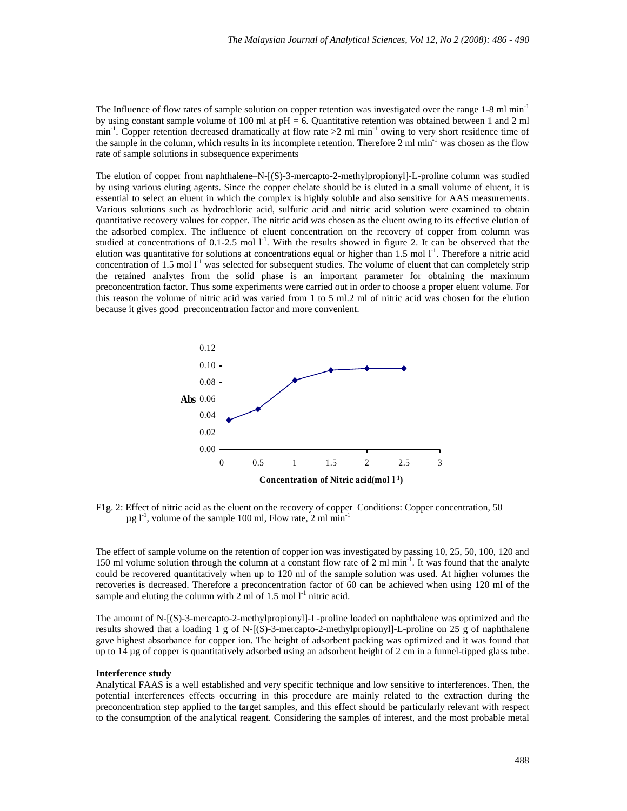The Influence of flow rates of sample solution on copper retention was investigated over the range 1-8 ml min<sup>-1</sup> by using constant sample volume of 100 ml at  $pH = 6$ . Quantitative retention was obtained between 1 and 2 ml min<sup>-1</sup>. Copper retention decreased dramatically at flow rate  $>2$  ml min<sup>-1</sup> owing to very short residence time of the sample in the column, which results in its incomplete retention. Therefore  $2 \text{ ml min}^{-1}$  was chosen as the flow rate of sample solutions in subsequence experiments

The elution of copper from naphthalene–N-[(S)-3-mercapto-2-methylpropionyl]-L-proline column was studied by using various eluting agents. Since the copper chelate should be is eluted in a small volume of eluent, it is essential to select an eluent in which the complex is highly soluble and also sensitive for AAS measurements. Various solutions such as hydrochloric acid, sulfuric acid and nitric acid solution were examined to obtain quantitative recovery values for copper. The nitric acid was chosen as the eluent owing to its effective elution of the adsorbed complex. The influence of eluent concentration on the recovery of copper from column was studied at concentrations of  $0.1$ -2.5 mol  $1<sup>-1</sup>$ . With the results showed in figure 2. It can be observed that the elution was quantitative for solutions at concentrations equal or higher than  $1.5$  mol  $1<sup>-1</sup>$ . Therefore a nitric acid concentration of 1.5 mol  $I<sup>-1</sup>$  was selected for subsequent studies. The volume of eluent that can completely strip the retained analytes from the solid phase is an important parameter for obtaining the maximum preconcentration factor. Thus some experiments were carried out in order to choose a proper eluent volume. For this reason the volume of nitric acid was varied from 1 to 5 ml.2 ml of nitric acid was chosen for the elution because it gives good preconcentration factor and more convenient.



F1g. 2: Effect of nitric acid as the eluent on the recovery of copper Conditions: Copper concentration, 50  $\mu$ g l<sup>-1</sup>, volume of the sample 100 ml, Flow rate, 2 ml min<sup>-1</sup>

The effect of sample volume on the retention of copper ion was investigated by passing 10, 25, 50, 100, 120 and 150 ml volume solution through the column at a constant flow rate of 2 ml min<sup>-1</sup>. It was found that the analyte could be recovered quantitatively when up to 120 ml of the sample solution was used. At higher volumes the recoveries is decreased. Therefore a preconcentration factor of 60 can be achieved when using 120 ml of the sample and eluting the column with 2 ml of 1.5 mol  $l^{-1}$  nitric acid.

The amount of N-[(S)-3-mercapto-2-methylpropionyl]-L-proline loaded on naphthalene was optimized and the results showed that a loading 1 g of N-[(S)-3-mercapto-2-methylpropionyl]-L-proline on 25 g of naphthalene gave highest absorbance for copper ion. The height of adsorbent packing was optimized and it was found that up to 14 µg of copper is quantitatively adsorbed using an adsorbent height of 2 cm in a funnel-tipped glass tube.

### **Interference study**

Analytical FAAS is a well established and very specific technique and low sensitive to interferences. Then, the potential interferences effects occurring in this procedure are mainly related to the extraction during the preconcentration step applied to the target samples, and this effect should be particularly relevant with respect to the consumption of the analytical reagent. Considering the samples of interest, and the most probable metal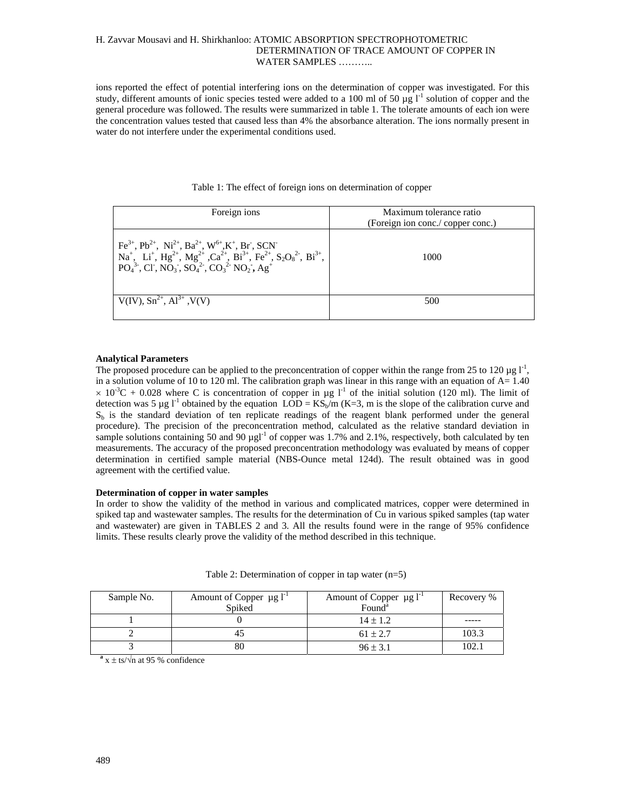# H. Zavvar Mousavi and H. Shirkhanloo: ATOMIC ABSORPTION SPECTROPHOTOMETRIC DETERMINATION OF TRACE AMOUNT OF COPPER IN WATER SAMPLES ………..

ions reported the effect of potential interfering ions on the determination of copper was investigated. For this study, different amounts of ionic species tested were added to a 100 ml of 50  $\mu$ g l<sup>-1</sup> solution of copper and the general procedure was followed. The results were summarized in table 1. The tolerate amounts of each ion were the concentration values tested that caused less than 4% the absorbance alteration. The ions normally present in water do not interfere under the experimental conditions used.

| Foreign ions                                                                                                                                                                                                                                                                                                                                                                                   | Maximum tolerance ratio<br>(Foreign ion conc./ copper conc.) |  |
|------------------------------------------------------------------------------------------------------------------------------------------------------------------------------------------------------------------------------------------------------------------------------------------------------------------------------------------------------------------------------------------------|--------------------------------------------------------------|--|
| $Fe^{3+}$ , $Pb^{2+}$ , $Ni^{2+}$ , $Ba^{2+}$ , $W^{6+}$ , $K^+$ , $Br$ , $SCN^-$<br>$\begin{cases} \text{Na}^+,\ \text{Li}^+,\ \text{Hg}^{2+},\ \text{Mg}^{2+},\ \text{Ca}^{2+},\ \text{Bi}^{3+},\ \text{Fe}^{2+},\ \text{S}_2\text{O}_8^{2-},\ \text{Bi}^{3+},\ \text{PO}_4^{3-},\ \text{Cl}^-, \text{NO}_3^-, \text{SO}_4^{2-},\ \text{CO}_3^{2-},\ \text{NO}_2^-, \text{Ag}^+ \end{cases}$ | 1000                                                         |  |
| $V(IV), Sn^{2+}, Al^{3+}, V(V)$                                                                                                                                                                                                                                                                                                                                                                | 500                                                          |  |

# Table 1: The effect of foreign ions on determination of copper

### **Analytical Parameters**

The proposed procedure can be applied to the preconcentration of copper within the range from 25 to 120  $\mu$ g l<sup>-1</sup>, in a solution volume of 10 to 120 ml. The calibration graph was linear in this range with an equation of  $A=1.40$  $\times$  10<sup>-3</sup>C + 0.028 where C is concentration of copper in µg l<sup>-1</sup> of the initial solution (120 ml). The limit of detection was 5 µg l<sup>-1</sup> obtained by the equation LOD =  $\text{KS}_{\text{D}}/\text{m}$  (K=3, m is the slope of the calibration curve and  $S_b$  is the standard deviation of ten replicate readings of the reagent blank performed under the general procedure). The precision of the preconcentration method, calculated as the relative standard deviation in sample solutions containing 50 and 90  $\mu$ gl<sup>-1</sup> of copper was 1.7% and 2.1%, respectively, both calculated by ten measurements. The accuracy of the proposed preconcentration methodology was evaluated by means of copper determination in certified sample material (NBS-Ounce metal 124d). The result obtained was in good agreement with the certified value.

# **Determination of copper in water samples**

In order to show the validity of the method in various and complicated matrices, copper were determined in spiked tap and wastewater samples. The results for the determination of Cu in various spiked samples (tap water and wastewater) are given in TABLES 2 and 3. All the results found were in the range of 95% confidence limits. These results clearly prove the validity of the method described in this technique.

| Sample No. | Amount of Copper $\mu g I^{-1}$ | Amount of Copper $\mu$ g l <sup>-1</sup> | Recovery % |
|------------|---------------------------------|------------------------------------------|------------|
|            | Spiked                          | Found <sup>a</sup>                       |            |
|            |                                 | $14 \pm 1.2$                             |            |
|            |                                 | $61 \pm 2.7$                             | 103.3      |
|            |                                 | $96 \pm 3.1$                             | 102.1      |

| Table 2: Determination of copper in tap water $(n=5)$ |  |  |  |
|-------------------------------------------------------|--|--|--|
|-------------------------------------------------------|--|--|--|

 $a$ <sub>x</sub>  $\pm$  ts/ $\sqrt{n}$  at 95 % confidence